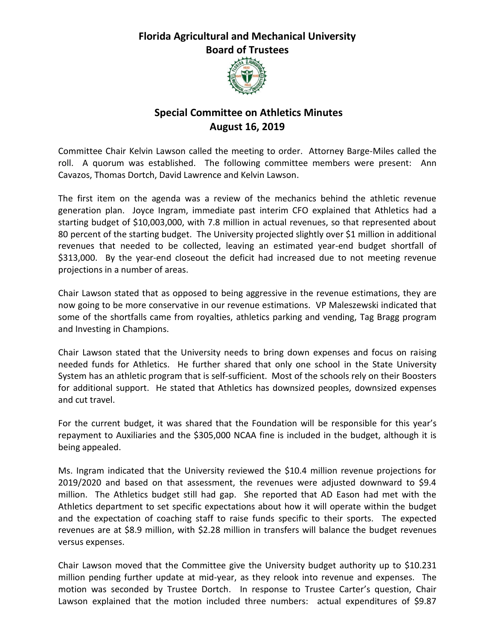## **Florida Agricultural and Mechanical University Board of Trustees**



## **Special Committee on Athletics Minutes August 16, 2019**

Committee Chair Kelvin Lawson called the meeting to order. Attorney Barge-Miles called the roll. A quorum was established. The following committee members were present: Ann Cavazos, Thomas Dortch, David Lawrence and Kelvin Lawson.

The first item on the agenda was a review of the mechanics behind the athletic revenue generation plan. Joyce Ingram, immediate past interim CFO explained that Athletics had a starting budget of \$10,003,000, with 7.8 million in actual revenues, so that represented about 80 percent of the starting budget. The University projected slightly over \$1 million in additional revenues that needed to be collected, leaving an estimated year-end budget shortfall of \$313,000. By the year-end closeout the deficit had increased due to not meeting revenue projections in a number of areas.

Chair Lawson stated that as opposed to being aggressive in the revenue estimations, they are now going to be more conservative in our revenue estimations. VP Maleszewski indicated that some of the shortfalls came from royalties, athletics parking and vending, Tag Bragg program and Investing in Champions.

Chair Lawson stated that the University needs to bring down expenses and focus on raising needed funds for Athletics. He further shared that only one school in the State University System has an athletic program that is self-sufficient. Most of the schools rely on their Boosters for additional support. He stated that Athletics has downsized peoples, downsized expenses and cut travel.

For the current budget, it was shared that the Foundation will be responsible for this year's repayment to Auxiliaries and the \$305,000 NCAA fine is included in the budget, although it is being appealed.

Ms. Ingram indicated that the University reviewed the \$10.4 million revenue projections for 2019/2020 and based on that assessment, the revenues were adjusted downward to \$9.4 million. The Athletics budget still had gap. She reported that AD Eason had met with the Athletics department to set specific expectations about how it will operate within the budget and the expectation of coaching staff to raise funds specific to their sports. The expected revenues are at \$8.9 million, with \$2.28 million in transfers will balance the budget revenues versus expenses.

Chair Lawson moved that the Committee give the University budget authority up to \$10.231 million pending further update at mid-year, as they relook into revenue and expenses. The motion was seconded by Trustee Dortch. In response to Trustee Carter's question, Chair Lawson explained that the motion included three numbers: actual expenditures of \$9.87